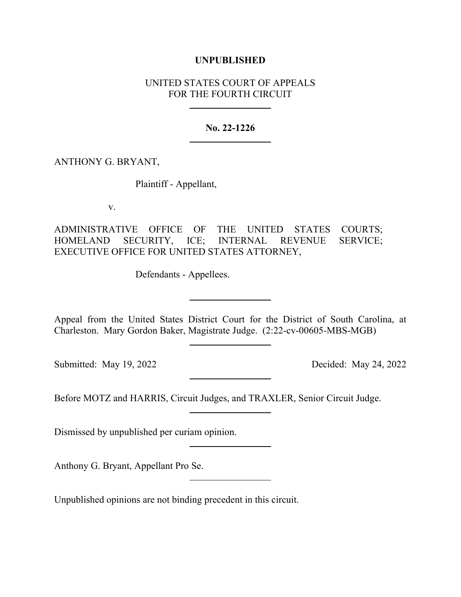## **UNPUBLISHED**

# UNITED STATES COURT OF APPEALS FOR THE FOURTH CIRCUIT

### **No. 22-1226**

### ANTHONY G. BRYANT,

Plaintiff - Appellant,

v.

ADMINISTRATIVE OFFICE OF THE UNITED STATES COURTS; HOMELAND SECURITY, ICE; INTERNAL REVENUE SERVICE; EXECUTIVE OFFICE FOR UNITED STATES ATTORNEY,

Defendants - Appellees.

Appeal from the United States District Court for the District of South Carolina, at Charleston. Mary Gordon Baker, Magistrate Judge. (2:22-cv-00605-MBS-MGB)

Submitted: May 19, 2022 Decided: May 24, 2022

Before MOTZ and HARRIS, Circuit Judges, and TRAXLER, Senior Circuit Judge.

Dismissed by unpublished per curiam opinion.

Anthony G. Bryant, Appellant Pro Se.

Unpublished opinions are not binding precedent in this circuit.